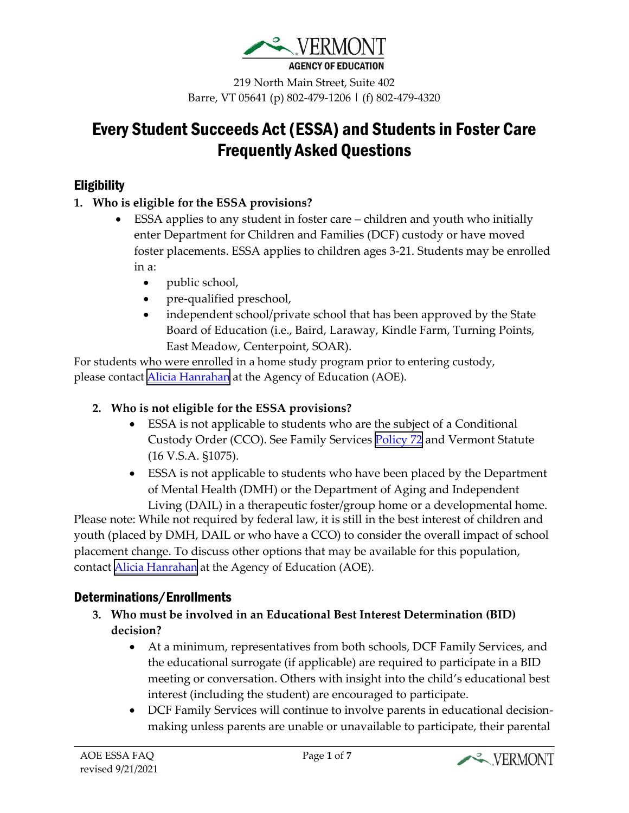

219 North Main Street, Suite 402 Barre, VT 05641 (p) 802-479-1206 | (f) 802-479-4320

# Every Student Succeeds Act (ESSA) and Students in Foster Care Frequently Asked Questions

## **Eligibility**

#### **1. Who is eligible for the ESSA provisions?**

- ESSA applies to any student in foster care children and youth who initially enter Department for Children and Families (DCF) custody or have moved foster placements. ESSA applies to children ages 3-21. Students may be enrolled in a:
	- public school,
	- pre-qualified preschool,
	- independent school/private school that has been approved by the State Board of Education (i.e., Baird, Laraway, Kindle Farm, Turning Points, East Meadow, Centerpoint, SOAR).

For students who were enrolled in a home study program prior to entering custody, please contact **Alicia Hanrahan** at the Agency of Education (AOE).

#### **2. Who is not eligible for the ESSA provisions?**

- ESSA is not applicable to students who are the subject of a Conditional Custody Order (CCO). See Family Services [Policy 72](https://dcf.vermont.gov/sites/dcf/files/FSD/Policies/72.pdf) and Vermont Statute (16 V.S.A. §1075).
- ESSA is not applicable to students who have been placed by the Department of Mental Health (DMH) or the Department of Aging and Independent

Living (DAIL) in a therapeutic foster/group home or a developmental home. Please note: While not required by federal law, it is still in the best interest of children and youth (placed by DMH, DAIL or who have a CCO) to consider the overall impact of school placement change. To discuss other options that may be available for this population, contact [Alicia Hanrahan](mailto:Alicia.Hanrahan@vermont.gov) at the Agency of Education (AOE).

### Determinations/Enrollments

- **3. Who must be involved in an Educational Best Interest Determination (BID) decision?**
	- At a minimum, representatives from both schools, DCF Family Services, and the educational surrogate (if applicable) are required to participate in a BID meeting or conversation. Others with insight into the child's educational best interest (including the student) are encouraged to participate.
	- DCF Family Services will continue to involve parents in educational decisionmaking unless parents are unable or unavailable to participate, their parental

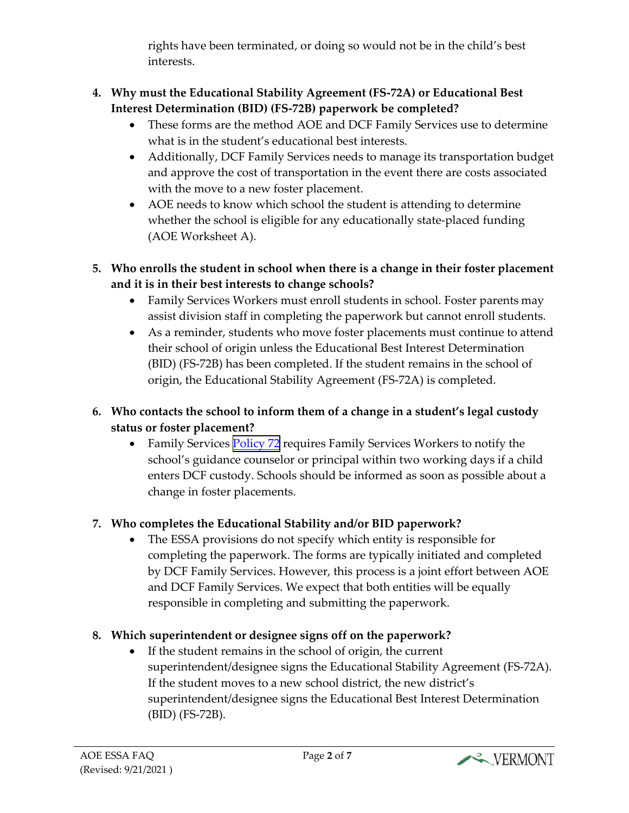rights have been terminated, or doing so would not be in the child's best interests.

#### **4. Why must the Educational Stability Agreement (FS-72A) or Educational Best Interest Determination (BID) (FS-72B) paperwork be completed?**

- These forms are the method AOE and DCF Family Services use to determine what is in the student's educational best interests.
- Additionally, DCF Family Services needs to manage its transportation budget and approve the cost of transportation in the event there are costs associated with the move to a new foster placement.
- AOE needs to know which school the student is attending to determine whether the school is eligible for any educationally state-placed funding (AOE Worksheet A).
- **5. Who enrolls the student in school when there is a change in their foster placement and it is in their best interests to change schools?**
	- Family Services Workers must enroll students in school. Foster parents may assist division staff in completing the paperwork but cannot enroll students.
	- As a reminder, students who move foster placements must continue to attend their school of origin unless the Educational Best Interest Determination (BID) (FS-72B) has been completed. If the student remains in the school of origin, the Educational Stability Agreement (FS-72A) is completed.

### **6. Who contacts the school to inform them of a change in a student's legal custody status or foster placement?**

• Family Services [Policy 72](https://dcf.vermont.gov/sites/dcf/files/FSD/Policies/72.pdf) requires Family Services Workers to notify the school's guidance counselor or principal within two working days if a child enters DCF custody. Schools should be informed as soon as possible about a change in foster placements.

# **7. Who completes the Educational Stability and/or BID paperwork?**

• The ESSA provisions do not specify which entity is responsible for completing the paperwork. The forms are typically initiated and completed by DCF Family Services. However, this process is a joint effort between AOE and DCF Family Services. We expect that both entities will be equally responsible in completing and submitting the paperwork.

# **8. Which superintendent or designee signs off on the paperwork?**

• If the student remains in the school of origin, the current superintendent/designee signs the Educational Stability Agreement (FS-72A). If the student moves to a new school district, the new district's superintendent/designee signs the Educational Best Interest Determination (BID) (FS-72B).

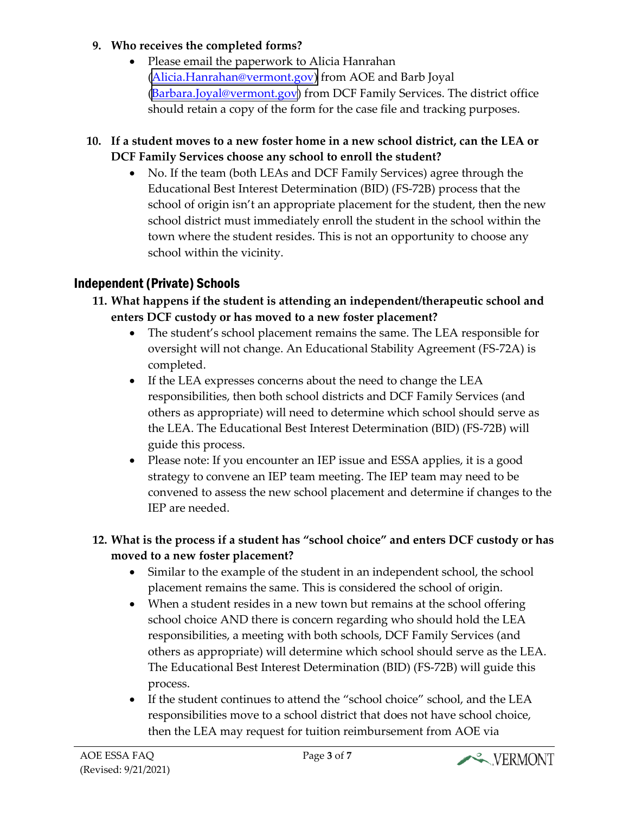#### **9. Who receives the completed forms?**

- Please email the paperwork to Alicia Hanrahan ([Alicia.Hanrahan@vermont.gov\)](mailto:Alicia.Hanrahan@vermont.gov) from AOE and Barb Joyal ([Barbara.Joyal@vermont.gov\)](mailto:Barbara.Joyal@vermont.gov) from DCF Family Services. The district office should retain a copy of the form for the case file and tracking purposes.
- **10. If a student moves to a new foster home in a new school district, can the LEA or DCF Family Services choose any school to enroll the student?**
	- No. If the team (both LEAs and DCF Family Services) agree through the Educational Best Interest Determination (BID) (FS-72B) process that the school of origin isn't an appropriate placement for the student, then the new school district must immediately enroll the student in the school within the town where the student resides. This is not an opportunity to choose any school within the vicinity.

# Independent (Private) Schools

- **11. What happens if the student is attending an independent/therapeutic school and enters DCF custody or has moved to a new foster placement?**
	- The student's school placement remains the same. The LEA responsible for oversight will not change. An Educational Stability Agreement (FS-72A) is completed.
	- If the LEA expresses concerns about the need to change the LEA responsibilities, then both school districts and DCF Family Services (and others as appropriate) will need to determine which school should serve as the LEA. The Educational Best Interest Determination (BID) (FS-72B) will guide this process.
	- Please note: If you encounter an IEP issue and ESSA applies, it is a good strategy to convene an IEP team meeting. The IEP team may need to be convened to assess the new school placement and determine if changes to the IEP are needed.

#### **12. What is the process if a student has "school choice" and enters DCF custody or has moved to a new foster placement?**

- Similar to the example of the student in an independent school, the school placement remains the same. This is considered the school of origin.
- When a student resides in a new town but remains at the school offering school choice AND there is concern regarding who should hold the LEA responsibilities, a meeting with both schools, DCF Family Services (and others as appropriate) will determine which school should serve as the LEA. The Educational Best Interest Determination (BID) (FS-72B) will guide this process.
- If the student continues to attend the "school choice" school, and the LEA responsibilities move to a school district that does not have school choice, then the LEA may request for tuition reimbursement from AOE via

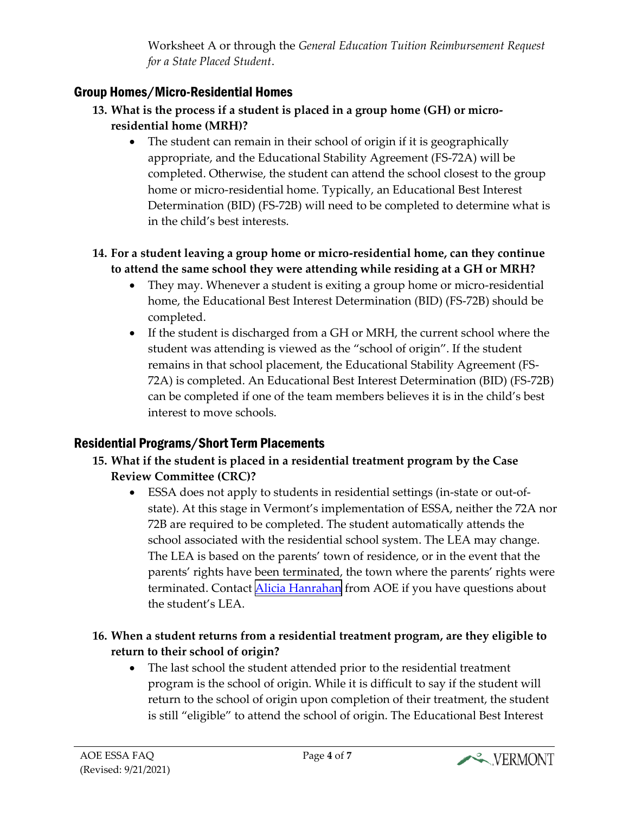Worksheet A or through the *General Education Tuition Reimbursement Request for a State Placed Student*.

# Group Homes/Micro-Residential Homes

- **13. What is the process if a student is placed in a group home (GH) or microresidential home (MRH)?**
	- The student can remain in their school of origin if it is geographically appropriate, and the Educational Stability Agreement (FS-72A) will be completed. Otherwise, the student can attend the school closest to the group home or micro-residential home. Typically, an Educational Best Interest Determination (BID) (FS-72B) will need to be completed to determine what is in the child's best interests.

#### **14. For a student leaving a group home or micro-residential home, can they continue to attend the same school they were attending while residing at a GH or MRH?**

- They may. Whenever a student is exiting a group home or micro-residential home, the Educational Best Interest Determination (BID) (FS-72B) should be completed.
- If the student is discharged from a GH or MRH, the current school where the student was attending is viewed as the "school of origin". If the student remains in that school placement, the Educational Stability Agreement (FS-72A) is completed. An Educational Best Interest Determination (BID) (FS-72B) can be completed if one of the team members believes it is in the child's best interest to move schools.

# Residential Programs/Short Term Placements

- **15. What if the student is placed in a residential treatment program by the Case Review Committee (CRC)?**
	- ESSA does not apply to students in residential settings (in-state or out-ofstate). At this stage in Vermont's implementation of ESSA, neither the 72A nor 72B are required to be completed. The student automatically attends the school associated with the residential school system. The LEA may change. The LEA is based on the parents' town of residence, or in the event that the parents' rights have been terminated, the town where the parents' rights were terminated. Contact [Alicia Hanrahan](mailto:Alicia.Hanrahan@vermont.gov) from AOE if you have questions about the student's LEA.

#### **16. When a student returns from a residential treatment program, are they eligible to return to their school of origin?**

• The last school the student attended prior to the residential treatment program is the school of origin. While it is difficult to say if the student will return to the school of origin upon completion of their treatment, the student is still "eligible" to attend the school of origin. The Educational Best Interest

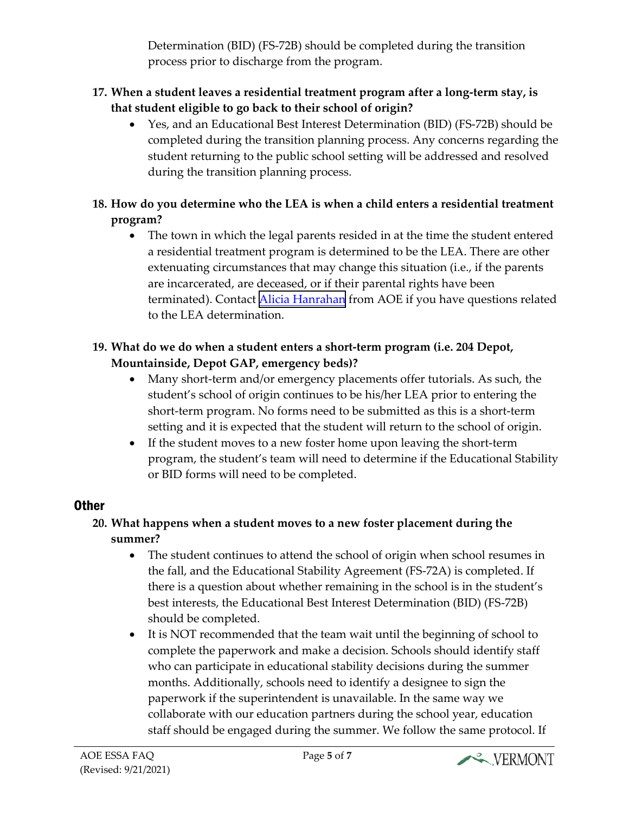Determination (BID) (FS-72B) should be completed during the transition process prior to discharge from the program.

#### **17. When a student leaves a residential treatment program after a long-term stay, is that student eligible to go back to their school of origin?**

• Yes, and an Educational Best Interest Determination (BID) (FS-72B) should be completed during the transition planning process. Any concerns regarding the student returning to the public school setting will be addressed and resolved during the transition planning process.

### **18. How do you determine who the LEA is when a child enters a residential treatment program?**

• The town in which the legal parents resided in at the time the student entered a residential treatment program is determined to be the LEA. There are other extenuating circumstances that may change this situation (i.e., if the parents are incarcerated, are deceased, or if their parental rights have been terminated). Contact [Alicia Hanrahan](mailto:Alicia.Hanrahan@vermont.gov) from AOE if you have questions related to the LEA determination.

### **19. What do we do when a student enters a short-term program (i.e. 204 Depot, Mountainside, Depot GAP, emergency beds)?**

- Many short-term and/or emergency placements offer tutorials. As such, the student's school of origin continues to be his/her LEA prior to entering the short-term program. No forms need to be submitted as this is a short-term setting and it is expected that the student will return to the school of origin.
- If the student moves to a new foster home upon leaving the short-term program, the student's team will need to determine if the Educational Stability or BID forms will need to be completed.

# **Other**

#### **20. What happens when a student moves to a new foster placement during the summer?**

- The student continues to attend the school of origin when school resumes in the fall, and the Educational Stability Agreement (FS-72A) is completed. If there is a question about whether remaining in the school is in the student's best interests, the Educational Best Interest Determination (BID) (FS-72B) should be completed.
- It is NOT recommended that the team wait until the beginning of school to complete the paperwork and make a decision. Schools should identify staff who can participate in educational stability decisions during the summer months. Additionally, schools need to identify a designee to sign the paperwork if the superintendent is unavailable. In the same way we collaborate with our education partners during the school year, education staff should be engaged during the summer. We follow the same protocol. If

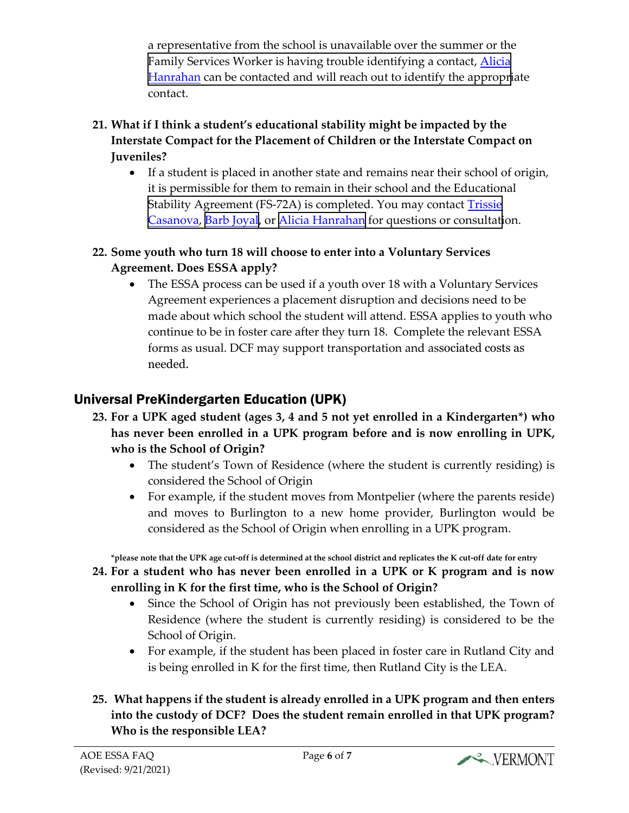a representative from the school is unavailable over the summer or the [Family Services Worker is having trouble identifying a contact, Alicia](mailto:Alicia.Hanrahan@vermont.gov) Hanrahan can be contacted and will reach out to identify the appropriate contact.

#### **21. What if I think a student's educational stability might be impacted by the Interstate Compact for the Placement of Children or the Interstate Compact on Juveniles?**

• If a student is placed in another state and remains near their school of origin, it is permissible for them to remain in their school and the Educational Stability Agreement (FS-72A) is completed. You may contact **Trissie** Casanova, [Barb Joyal,](mailto:Barbara.Joyal@vermont.gov) or [Alicia Hanrahan](mailto:Alicia.Hanrahan@vermont.gov) for questions or consultation.

#### **22. Some youth who turn 18 will choose to enter into a Voluntary Services Agreement. Does ESSA apply?**

The ESSA process can be used if a youth over 18 with a Voluntary Services Agreement experiences a placement disruption and decisions need to be made about which school the student will attend. ESSA applies to youth who continue to be in foster care after they turn 18. Complete the relevant ESSA forms as usual. DCF may support transportation and associated costs as needed.

# Universal PreKindergarten Education (UPK)

- **23. For a UPK aged student (ages 3, 4 and 5 not yet enrolled in a Kindergarten\*) who has never been enrolled in a UPK program before and is now enrolling in UPK, who is the School of Origin?**
	- The student's Town of Residence (where the student is currently residing) is considered the School of Origin
	- For example, if the student moves from Montpelier (where the parents reside) and moves to Burlington to a new home provider, Burlington would be considered as the School of Origin when enrolling in a UPK program.

**\*please note that the UPK age cut-off is determined at the school district and replicates the K cut-off date for entry**

- **24. For a student who has never been enrolled in a UPK or K program and is now enrolling in K for the first time, who is the School of Origin?**
	- Since the School of Origin has not previously been established, the Town of Residence (where the student is currently residing) is considered to be the School of Origin.
	- For example, if the student has been placed in foster care in Rutland City and is being enrolled in K for the first time, then Rutland City is the LEA.

### **25. What happens if the student is already enrolled in a UPK program and then enters into the custody of DCF? Does the student remain enrolled in that UPK program? Who is the responsible LEA?**